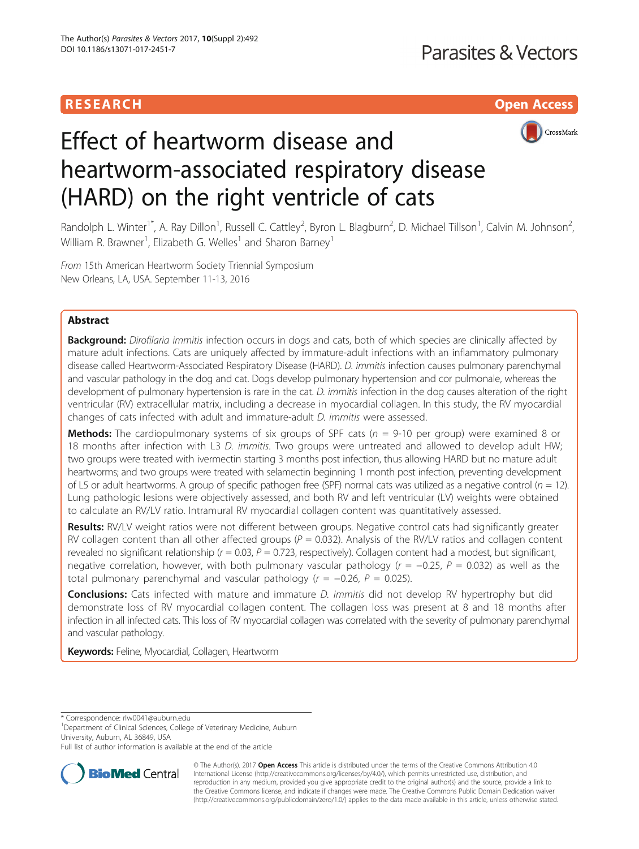## **RESEARCH CHILD CONTROL** CONTROL CONTROL CONTROL CONTROL CONTROL CONTROL CONTROL CONTROL CONTROL CONTROL CONTROL CONTROL CONTROL CONTROL CONTROL CONTROL CONTROL CONTROL CONTROL CONTROL CONTROL CONTROL CONTROL CONTROL CONTR



# Effect of heartworm disease and heartworm-associated respiratory disease (HARD) on the right ventricle of cats

Randolph L. Winter<sup>1\*</sup>, A. Ray Dillon<sup>1</sup>, Russell C. Cattley<sup>2</sup>, Byron L. Blagburn<sup>2</sup>, D. Michael Tillson<sup>1</sup>, Calvin M. Johnson<sup>2</sup> .<br>, William R. Brawner<sup>1</sup>, Elizabeth G. Welles<sup>1</sup> and Sharon Barney<sup>1</sup>

From 15th American Heartworm Society Triennial Symposium New Orleans, LA, USA. September 11-13, 2016

## Abstract

Background: Dirofilaria immitis infection occurs in dogs and cats, both of which species are clinically affected by mature adult infections. Cats are uniquely affected by immature-adult infections with an inflammatory pulmonary disease called Heartworm-Associated Respiratory Disease (HARD). D. immitis infection causes pulmonary parenchymal and vascular pathology in the dog and cat. Dogs develop pulmonary hypertension and cor pulmonale, whereas the development of pulmonary hypertension is rare in the cat. D. immitis infection in the dog causes alteration of the right ventricular (RV) extracellular matrix, including a decrease in myocardial collagen. In this study, the RV myocardial changes of cats infected with adult and immature-adult D. immitis were assessed.

**Methods:** The cardiopulmonary systems of six groups of SPF cats ( $n = 9-10$  per group) were examined 8 or 18 months after infection with L3 D. immitis. Two groups were untreated and allowed to develop adult HW; two groups were treated with ivermectin starting 3 months post infection, thus allowing HARD but no mature adult heartworms; and two groups were treated with selamectin beginning 1 month post infection, preventing development of L5 or adult heartworms. A group of specific pathogen free (SPF) normal cats was utilized as a negative control ( $n = 12$ ). Lung pathologic lesions were objectively assessed, and both RV and left ventricular (LV) weights were obtained to calculate an RV/LV ratio. Intramural RV myocardial collagen content was quantitatively assessed.

Results: RV/LV weight ratios were not different between groups. Negative control cats had significantly greater RV collagen content than all other affected groups ( $P = 0.032$ ). Analysis of the RV/LV ratios and collagen content revealed no significant relationship ( $r = 0.03$ ,  $P = 0.723$ , respectively). Collagen content had a modest, but significant, negative correlation, however, with both pulmonary vascular pathology ( $r = -0.25$ ,  $P = 0.032$ ) as well as the total pulmonary parenchymal and vascular pathology ( $r = -0.26$ ,  $P = 0.025$ ).

**Conclusions:** Cats infected with mature and immature *D. immitis* did not develop RV hypertrophy but did demonstrate loss of RV myocardial collagen content. The collagen loss was present at 8 and 18 months after infection in all infected cats. This loss of RV myocardial collagen was correlated with the severity of pulmonary parenchymal and vascular pathology.

**Keywords: Feline, Myocardial, Collagen, Heartworm** 

\* Correspondence: [rlw0041@auburn.edu](mailto:rlw0041@auburn.edu) <sup>1</sup>

<sup>1</sup>Department of Clinical Sciences, College of Veterinary Medicine, Auburn University, Auburn, AL 36849, USA

Full list of author information is available at the end of the article



© The Author(s). 2017 **Open Access** This article is distributed under the terms of the Creative Commons Attribution 4.0 International License [\(http://creativecommons.org/licenses/by/4.0/](http://creativecommons.org/licenses/by/4.0/)), which permits unrestricted use, distribution, and reproduction in any medium, provided you give appropriate credit to the original author(s) and the source, provide a link to the Creative Commons license, and indicate if changes were made. The Creative Commons Public Domain Dedication waiver [\(http://creativecommons.org/publicdomain/zero/1.0/](http://creativecommons.org/publicdomain/zero/1.0/)) applies to the data made available in this article, unless otherwise stated.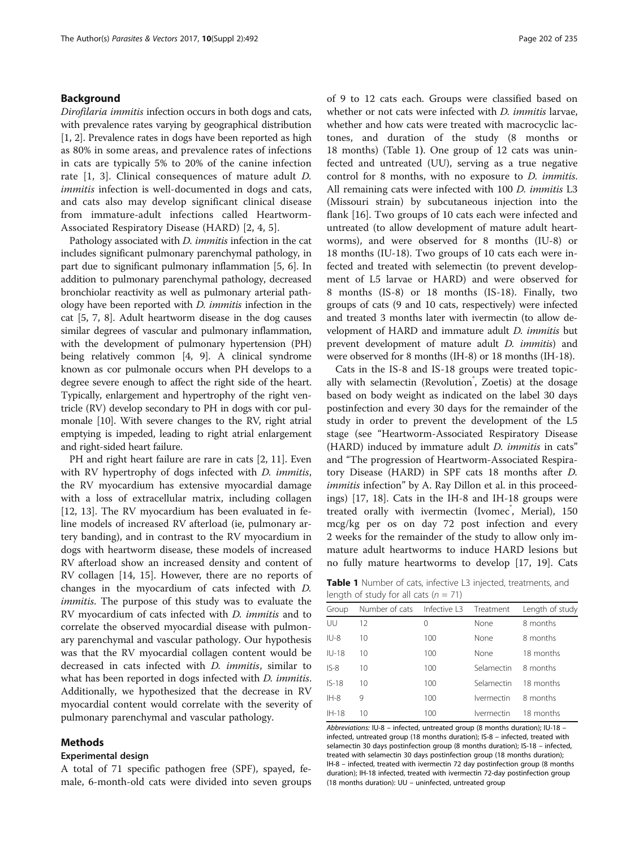## Background

Dirofilaria immitis infection occurs in both dogs and cats, with prevalence rates varying by geographical distribution [[1, 2](#page-6-0)]. Prevalence rates in dogs have been reported as high as 80% in some areas, and prevalence rates of infections in cats are typically 5% to 20% of the canine infection rate [[1, 3](#page-6-0)]. Clinical consequences of mature adult D. immitis infection is well-documented in dogs and cats, and cats also may develop significant clinical disease from immature-adult infections called Heartworm-Associated Respiratory Disease (HARD) [[2, 4](#page-6-0), [5](#page-6-0)].

Pathology associated with *D. immitis* infection in the cat includes significant pulmonary parenchymal pathology, in part due to significant pulmonary inflammation [\[5, 6](#page-6-0)]. In addition to pulmonary parenchymal pathology, decreased bronchiolar reactivity as well as pulmonary arterial pathology have been reported with D. immitis infection in the cat [\[5](#page-6-0), [7](#page-6-0), [8](#page-6-0)]. Adult heartworm disease in the dog causes similar degrees of vascular and pulmonary inflammation, with the development of pulmonary hypertension (PH) being relatively common [[4, 9](#page-6-0)]. A clinical syndrome known as cor pulmonale occurs when PH develops to a degree severe enough to affect the right side of the heart. Typically, enlargement and hypertrophy of the right ventricle (RV) develop secondary to PH in dogs with cor pulmonale [\[10\]](#page-6-0). With severe changes to the RV, right atrial emptying is impeded, leading to right atrial enlargement and right-sided heart failure.

PH and right heart failure are rare in cats [[2](#page-6-0), [11](#page-6-0)]. Even with RV hypertrophy of dogs infected with *D. immitis*, the RV myocardium has extensive myocardial damage with a loss of extracellular matrix, including collagen [[12, 13](#page-6-0)]. The RV myocardium has been evaluated in feline models of increased RV afterload (ie, pulmonary artery banding), and in contrast to the RV myocardium in dogs with heartworm disease, these models of increased RV afterload show an increased density and content of RV collagen [\[14, 15](#page-6-0)]. However, there are no reports of changes in the myocardium of cats infected with D. immitis. The purpose of this study was to evaluate the RV myocardium of cats infected with D. immitis and to correlate the observed myocardial disease with pulmonary parenchymal and vascular pathology. Our hypothesis was that the RV myocardial collagen content would be decreased in cats infected with D. immitis, similar to what has been reported in dogs infected with *D. immitis*. Additionally, we hypothesized that the decrease in RV myocardial content would correlate with the severity of pulmonary parenchymal and vascular pathology.

## Methods

#### Experimental design

A total of 71 specific pathogen free (SPF), spayed, female, 6-month-old cats were divided into seven groups of 9 to 12 cats each. Groups were classified based on whether or not cats were infected with *D. immitis* larvae, whether and how cats were treated with macrocyclic lactones, and duration of the study (8 months or 18 months) (Table 1). One group of 12 cats was uninfected and untreated (UU), serving as a true negative control for 8 months, with no exposure to D. immitis. All remaining cats were infected with 100 D. *immitis* L3 (Missouri strain) by subcutaneous injection into the flank [\[16\]](#page-6-0). Two groups of 10 cats each were infected and untreated (to allow development of mature adult heartworms), and were observed for 8 months (IU-8) or 18 months (IU-18). Two groups of 10 cats each were infected and treated with selemectin (to prevent development of L5 larvae or HARD) and were observed for 8 months (IS-8) or 18 months (IS-18). Finally, two groups of cats (9 and 10 cats, respectively) were infected and treated 3 months later with ivermectin (to allow development of HARD and immature adult D. immitis but prevent development of mature adult *D. immitis*) and were observed for 8 months (IH-8) or 18 months (IH-18).

Cats in the IS-8 and IS-18 groups were treated topically with selamectin (Revolution<sup>®</sup>, Zoetis) at the dosage based on body weight as indicated on the label 30 days postinfection and every 30 days for the remainder of the study in order to prevent the development of the L5 stage (see "Heartworm-Associated Respiratory Disease (HARD) induced by immature adult *D. immitis* in cats" and "The progression of Heartworm-Associated Respiratory Disease (HARD) in SPF cats 18 months after D. immitis infection" by A. Ray Dillon et al. in this proceedings) [\[17](#page-6-0), [18](#page-6-0)]. Cats in the IH-8 and IH-18 groups were treated orally with ivermectin (Ivomec<sup>®</sup>, Merial), 150 mcg/kg per os on day 72 post infection and every 2 weeks for the remainder of the study to allow only immature adult heartworms to induce HARD lesions but no fully mature heartworms to develop [\[17](#page-6-0), [19](#page-6-0)]. Cats

Table 1 Number of cats, infective L3 injected, treatments, and length of study for all cats  $(n = 71)$ 

| Group    | Number of cats | Infective L3     | Treatment                       | Length of study |
|----------|----------------|------------------|---------------------------------|-----------------|
| UU       | 12             | $\left( \right)$ | None                            | 8 months        |
| $IU-8$   | 10             | 100              | None                            | 8 months        |
| $ILJ-18$ | 10             | 100              | None                            | 18 months       |
| $IS-8$   | 10             | 100              | Selamectin                      | 8 months        |
| $IS-18$  | 10             | 100              | Selamectin                      | 18 months       |
| $IH-8$   | 9              | 100              | <b>Ivermectin</b>               | 8 months        |
| $IH-18$  | 10             | 100              | <i><u><b>Ivermectin</b></u></i> | 18 months       |

Abbreviations: IU-8 – infected, untreated group (8 months duration); IU-18 – infected, untreated group (18 months duration); IS-8 – infected, treated with selamectin 30 days postinfection group (8 months duration); IS-18 – infected, treated with selamectin 30 days postinfection group (18 months duration); IH-8 – infected, treated with ivermectin 72 day postinfection group (8 months duration); IH-18 infected, treated with ivermectin 72-day postinfection group (18 months duration): UU – uninfected, untreated group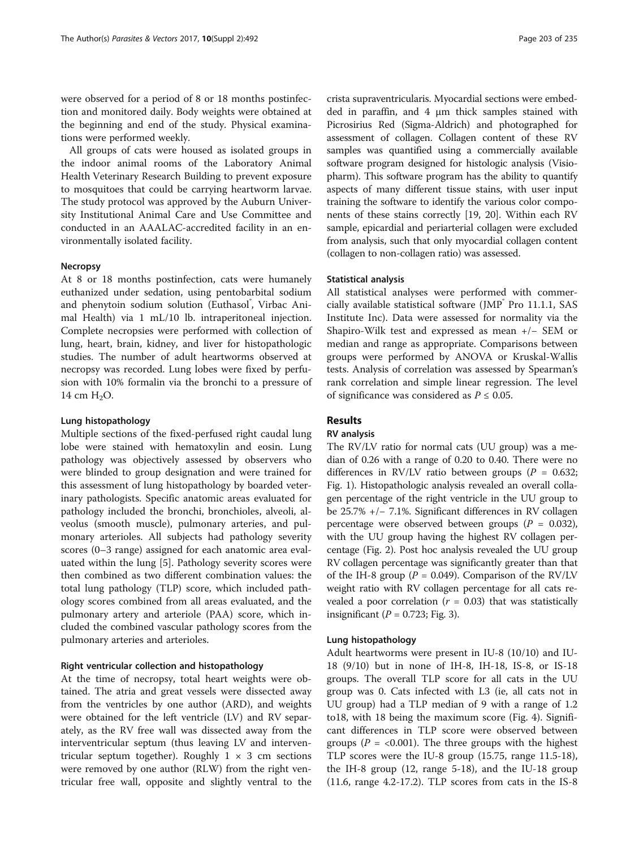were observed for a period of 8 or 18 months postinfection and monitored daily. Body weights were obtained at the beginning and end of the study. Physical examinations were performed weekly.

All groups of cats were housed as isolated groups in the indoor animal rooms of the Laboratory Animal Health Veterinary Research Building to prevent exposure to mosquitoes that could be carrying heartworm larvae. The study protocol was approved by the Auburn University Institutional Animal Care and Use Committee and conducted in an AAALAC-accredited facility in an environmentally isolated facility.

### Necropsy

At 8 or 18 months postinfection, cats were humanely euthanized under sedation, using pentobarbital sodium and phenytoin sodium solution (Euthasol<sup>®</sup>, Virbac Animal Health) via 1 mL/10 lb. intraperitoneal injection. Complete necropsies were performed with collection of lung, heart, brain, kidney, and liver for histopathologic studies. The number of adult heartworms observed at necropsy was recorded. Lung lobes were fixed by perfusion with 10% formalin via the bronchi to a pressure of 14 cm  $H_2O$ .

## Lung histopathology

Multiple sections of the fixed-perfused right caudal lung lobe were stained with hematoxylin and eosin. Lung pathology was objectively assessed by observers who were blinded to group designation and were trained for this assessment of lung histopathology by boarded veterinary pathologists. Specific anatomic areas evaluated for pathology included the bronchi, bronchioles, alveoli, alveolus (smooth muscle), pulmonary arteries, and pulmonary arterioles. All subjects had pathology severity scores (0–3 range) assigned for each anatomic area evaluated within the lung [[5\]](#page-6-0). Pathology severity scores were then combined as two different combination values: the total lung pathology (TLP) score, which included pathology scores combined from all areas evaluated, and the pulmonary artery and arteriole (PAA) score, which included the combined vascular pathology scores from the pulmonary arteries and arterioles.

## Right ventricular collection and histopathology

At the time of necropsy, total heart weights were obtained. The atria and great vessels were dissected away from the ventricles by one author (ARD), and weights were obtained for the left ventricle (LV) and RV separately, as the RV free wall was dissected away from the interventricular septum (thus leaving LV and interventricular septum together). Roughly  $1 \times 3$  cm sections were removed by one author (RLW) from the right ventricular free wall, opposite and slightly ventral to the crista supraventricularis. Myocardial sections were embedded in paraffin, and 4 μm thick samples stained with Picrosirius Red (Sigma-Aldrich) and photographed for assessment of collagen. Collagen content of these RV samples was quantified using a commercially available software program designed for histologic analysis (Visiopharm). This software program has the ability to quantify aspects of many different tissue stains, with user input training the software to identify the various color components of these stains correctly [\[19](#page-6-0), [20\]](#page-6-0). Within each RV sample, epicardial and periarterial collagen were excluded from analysis, such that only myocardial collagen content (collagen to non-collagen ratio) was assessed.

#### Statistical analysis

All statistical analyses were performed with commercially available statistical software (JMP® Pro 11.1.1, SAS Institute Inc). Data were assessed for normality via the Shapiro-Wilk test and expressed as mean +/− SEM or median and range as appropriate. Comparisons between groups were performed by ANOVA or Kruskal-Wallis tests. Analysis of correlation was assessed by Spearman's rank correlation and simple linear regression. The level of significance was considered as  $P \leq 0.05$ .

## Results

## RV analysis

The RV/LV ratio for normal cats (UU group) was a median of 0.26 with a range of 0.20 to 0.40. There were no differences in RV/LV ratio between groups ( $P = 0.632$ ; Fig. [1](#page-3-0)). Histopathologic analysis revealed an overall collagen percentage of the right ventricle in the UU group to be 25.7% +/− 7.1%. Significant differences in RV collagen percentage were observed between groups ( $P = 0.032$ ), with the UU group having the highest RV collagen percentage (Fig. [2\)](#page-3-0). Post hoc analysis revealed the UU group RV collagen percentage was significantly greater than that of the IH-8 group ( $P = 0.049$ ). Comparison of the RV/LV weight ratio with RV collagen percentage for all cats revealed a poor correlation  $(r = 0.03)$  that was statistically insignificant ( $P = 0.723$ ; Fig. [3](#page-3-0)).

## Lung histopathology

Adult heartworms were present in IU-8 (10/10) and IU-18 (9/10) but in none of IH-8, IH-18, IS-8, or IS-18 groups. The overall TLP score for all cats in the UU group was 0. Cats infected with L3 (ie, all cats not in UU group) had a TLP median of 9 with a range of 1.2 to18, with 18 being the maximum score (Fig. [4\)](#page-3-0). Significant differences in TLP score were observed between groups ( $P = 0.001$ ). The three groups with the highest TLP scores were the IU-8 group (15.75, range 11.5-18), the IH-8 group (12, range 5-18), and the IU-18 group (11.6, range 4.2-17.2). TLP scores from cats in the IS-8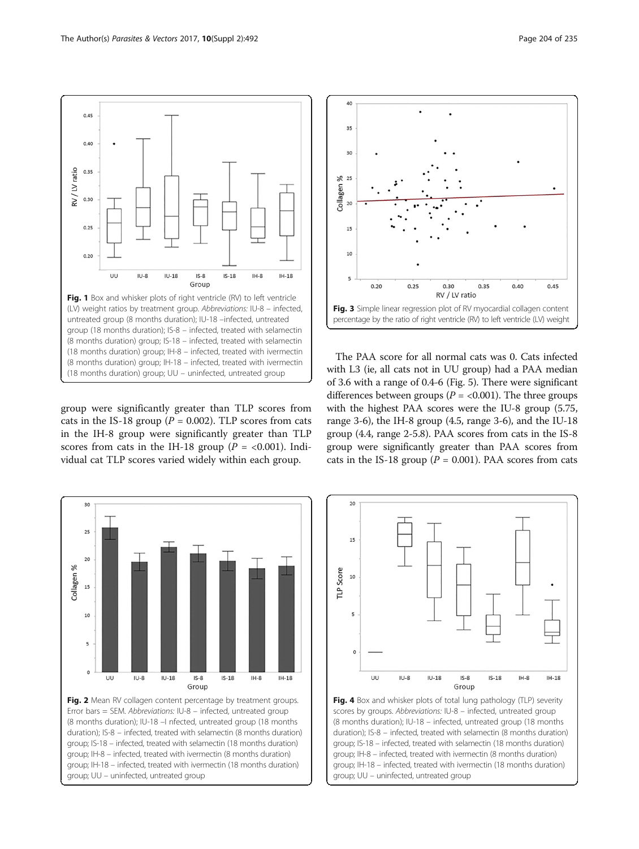<span id="page-3-0"></span> $0.45$ 

 $0.40$ 

0.35 RV/LV ratio

 $0.30$ 

 $0.25$ 

 $0.20$ 

UU

 $1U-8$ 

group were significantly greater than TLP scores from cats in the IS-18 group ( $P = 0.002$ ). TLP scores from cats in the IH-8 group were significantly greater than TLP scores from cats in the IH-18 group ( $P = <0.001$ ). Individual cat TLP scores varied widely within each group.

Fig. 1 Box and whisker plots of right ventricle (RV) to left ventricle (LV) weight ratios by treatment group. Abbreviations: IU-8 – infected, untreated group (8 months duration); IU-18 –infected, untreated group (18 months duration); IS-8 – infected, treated with selamectin (8 months duration) group; IS-18 – infected, treated with selamectin (18 months duration) group; IH-8 – infected, treated with ivermectin (8 months duration) group; IH-18 – infected, treated with ivermectin (18 months duration) group; UU – uninfected, untreated group

 $IS-8$ 

Group

 $IS-18$ 

 $IH-8$ 

 $IH-18$ 

 $ILJ-18$ 





The PAA score for all normal cats was 0. Cats infected with L3 (ie, all cats not in UU group) had a PAA median of 3.6 with a range of 0.4-6 (Fig. [5](#page-4-0)). There were significant differences between groups ( $P = < 0.001$ ). The three groups with the highest PAA scores were the IU-8 group (5.75, range 3-6), the IH-8 group (4.5, range 3-6), and the IU-18 group (4.4, range 2-5.8). PAA scores from cats in the IS-8 group were significantly greater than PAA scores from cats in the IS-18 group ( $P = 0.001$ ). PAA scores from cats



Fig. 4 Box and whisker plots of total lung pathology (TLP) severity scores by groups. Abbreviations: IU-8 – infected, untreated group (8 months duration); IU-18 – infected, untreated group (18 months duration); IS-8 – infected, treated with selamectin (8 months duration) group; IS-18 – infected, treated with selamectin (18 months duration) group; IH-8 – infected, treated with ivermectin (8 months duration) group; IH-18 – infected, treated with ivermectin (18 months duration) group; UU – uninfected, untreated group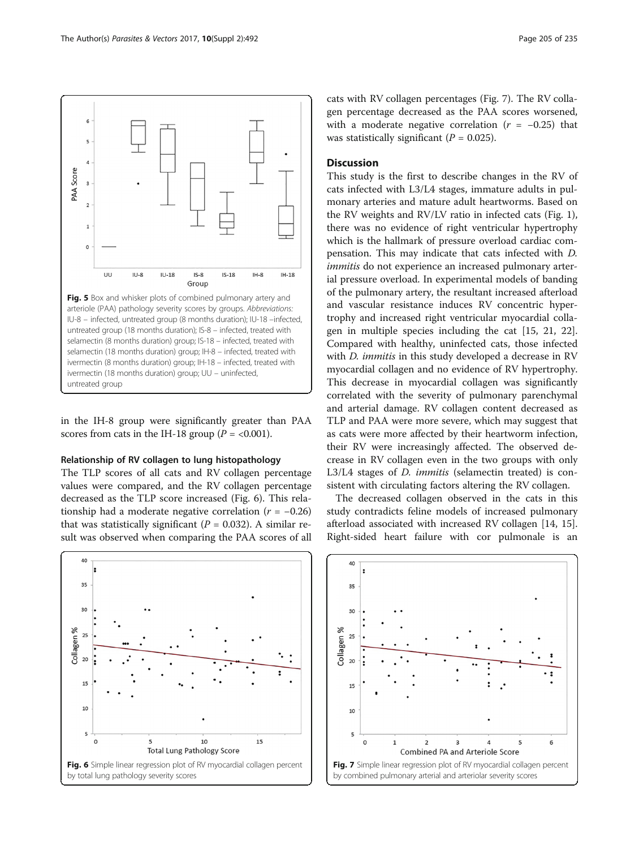<span id="page-4-0"></span>

in the IH-8 group were significantly greater than PAA scores from cats in the IH-18 group ( $P = <0.001$ ).

#### Relationship of RV collagen to lung histopathology

The TLP scores of all cats and RV collagen percentage values were compared, and the RV collagen percentage decreased as the TLP score increased (Fig. 6). This relationship had a moderate negative correlation ( $r = -0.26$ ) that was statistically significant ( $P = 0.032$ ). A similar result was observed when comparing the PAA scores of all



cats with RV collagen percentages (Fig. 7). The RV collagen percentage decreased as the PAA scores worsened, with a moderate negative correlation  $(r = -0.25)$  that was statistically significant ( $P = 0.025$ ).

## **Discussion**

This study is the first to describe changes in the RV of cats infected with L3/L4 stages, immature adults in pulmonary arteries and mature adult heartworms. Based on the RV weights and RV/LV ratio in infected cats (Fig. [1](#page-3-0)), there was no evidence of right ventricular hypertrophy which is the hallmark of pressure overload cardiac compensation. This may indicate that cats infected with D. immitis do not experience an increased pulmonary arterial pressure overload. In experimental models of banding of the pulmonary artery, the resultant increased afterload and vascular resistance induces RV concentric hypertrophy and increased right ventricular myocardial collagen in multiple species including the cat [[15, 21](#page-6-0), [22](#page-6-0)]. Compared with healthy, uninfected cats, those infected with *D. immitis* in this study developed a decrease in RV myocardial collagen and no evidence of RV hypertrophy. This decrease in myocardial collagen was significantly correlated with the severity of pulmonary parenchymal and arterial damage. RV collagen content decreased as TLP and PAA were more severe, which may suggest that as cats were more affected by their heartworm infection, their RV were increasingly affected. The observed decrease in RV collagen even in the two groups with only L3/L4 stages of *D. immitis* (selamectin treated) is consistent with circulating factors altering the RV collagen.

The decreased collagen observed in the cats in this study contradicts feline models of increased pulmonary afterload associated with increased RV collagen [[14, 15](#page-6-0)]. Right-sided heart failure with cor pulmonale is an

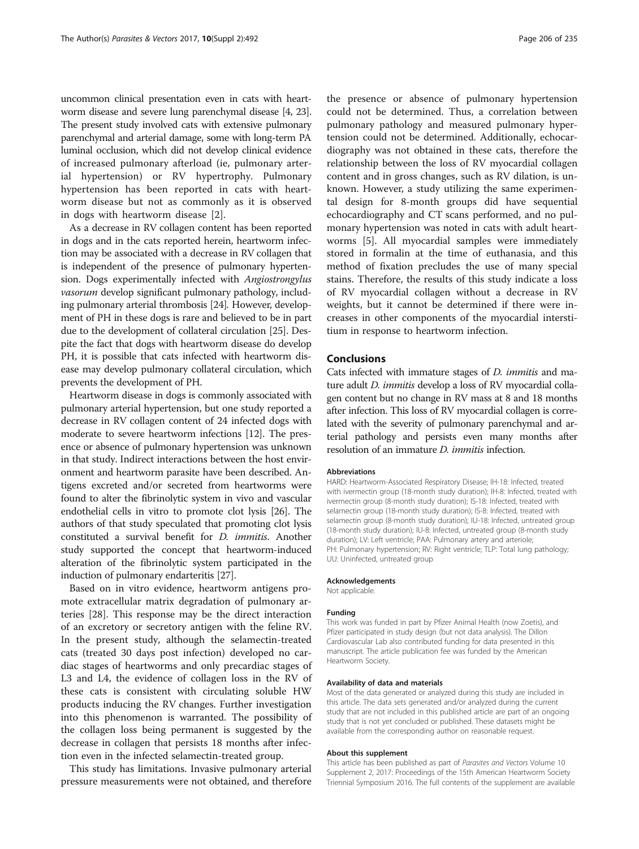uncommon clinical presentation even in cats with heartworm disease and severe lung parenchymal disease [\[4, 23](#page-6-0)]. The present study involved cats with extensive pulmonary parenchymal and arterial damage, some with long-term PA luminal occlusion, which did not develop clinical evidence of increased pulmonary afterload (ie, pulmonary arterial hypertension) or RV hypertrophy. Pulmonary hypertension has been reported in cats with heartworm disease but not as commonly as it is observed in dogs with heartworm disease [[2\]](#page-6-0).

As a decrease in RV collagen content has been reported in dogs and in the cats reported herein, heartworm infection may be associated with a decrease in RV collagen that is independent of the presence of pulmonary hypertension. Dogs experimentally infected with Angiostrongylus vasorum develop significant pulmonary pathology, including pulmonary arterial thrombosis [[24\]](#page-6-0). However, development of PH in these dogs is rare and believed to be in part due to the development of collateral circulation [\[25\]](#page-6-0). Despite the fact that dogs with heartworm disease do develop PH, it is possible that cats infected with heartworm disease may develop pulmonary collateral circulation, which prevents the development of PH.

Heartworm disease in dogs is commonly associated with pulmonary arterial hypertension, but one study reported a decrease in RV collagen content of 24 infected dogs with moderate to severe heartworm infections [\[12\]](#page-6-0). The presence or absence of pulmonary hypertension was unknown in that study. Indirect interactions between the host environment and heartworm parasite have been described. Antigens excreted and/or secreted from heartworms were found to alter the fibrinolytic system in vivo and vascular endothelial cells in vitro to promote clot lysis [[26](#page-6-0)]. The authors of that study speculated that promoting clot lysis constituted a survival benefit for D. immitis. Another study supported the concept that heartworm-induced alteration of the fibrinolytic system participated in the induction of pulmonary endarteritis [\[27](#page-6-0)].

Based on in vitro evidence, heartworm antigens promote extracellular matrix degradation of pulmonary arteries [[28\]](#page-6-0). This response may be the direct interaction of an excretory or secretory antigen with the feline RV. In the present study, although the selamectin-treated cats (treated 30 days post infection) developed no cardiac stages of heartworms and only precardiac stages of L3 and L4, the evidence of collagen loss in the RV of these cats is consistent with circulating soluble HW products inducing the RV changes. Further investigation into this phenomenon is warranted. The possibility of the collagen loss being permanent is suggested by the decrease in collagen that persists 18 months after infection even in the infected selamectin-treated group.

This study has limitations. Invasive pulmonary arterial pressure measurements were not obtained, and therefore the presence or absence of pulmonary hypertension could not be determined. Thus, a correlation between pulmonary pathology and measured pulmonary hypertension could not be determined. Additionally, echocardiography was not obtained in these cats, therefore the relationship between the loss of RV myocardial collagen content and in gross changes, such as RV dilation, is unknown. However, a study utilizing the same experimental design for 8-month groups did have sequential echocardiography and CT scans performed, and no pulmonary hypertension was noted in cats with adult heartworms [\[5](#page-6-0)]. All myocardial samples were immediately stored in formalin at the time of euthanasia, and this method of fixation precludes the use of many special stains. Therefore, the results of this study indicate a loss of RV myocardial collagen without a decrease in RV weights, but it cannot be determined if there were increases in other components of the myocardial interstitium in response to heartworm infection.

## Conclusions

Cats infected with immature stages of D. immitis and mature adult *D. immitis* develop a loss of RV myocardial collagen content but no change in RV mass at 8 and 18 months after infection. This loss of RV myocardial collagen is correlated with the severity of pulmonary parenchymal and arterial pathology and persists even many months after resolution of an immature *D. immitis* infection.

#### Abbreviations

HARD: Heartworm-Associated Respiratory Disease; IH-18: Infected, treated with ivermectin group (18-month study duration); IH-8: Infected, treated with ivermectin group (8-month study duration); IS-18: Infected, treated with selamectin group (18-month study duration); IS-8: Infected, treated with selamectin group (8-month study duration); IU-18: Infected, untreated group (18-month study duration); IU-8: Infected, untreated group (8-month study duration); LV: Left ventricle; PAA: Pulmonary artery and arteriole; PH: Pulmonary hypertension; RV: Right ventricle; TLP: Total lung pathology; UU: Uninfected, untreated group

#### Acknowledgements

Not applicable.

## Funding

This work was funded in part by Pfizer Animal Health (now Zoetis), and Pfizer participated in study design (but not data analysis). The Dillon Cardiovascular Lab also contributed funding for data presented in this manuscript. The article publication fee was funded by the American Heartworm Society.

#### Availability of data and materials

Most of the data generated or analyzed during this study are included in this article. The data sets generated and/or analyzed during the current study that are not included in this published article are part of an ongoing study that is not yet concluded or published. These datasets might be available from the corresponding author on reasonable request.

#### About this supplement

This article has been published as part of Parasites and Vectors Volume 10 Supplement 2, 2017: Proceedings of the 15th American Heartworm Society Triennial Symposium 2016. The full contents of the supplement are available